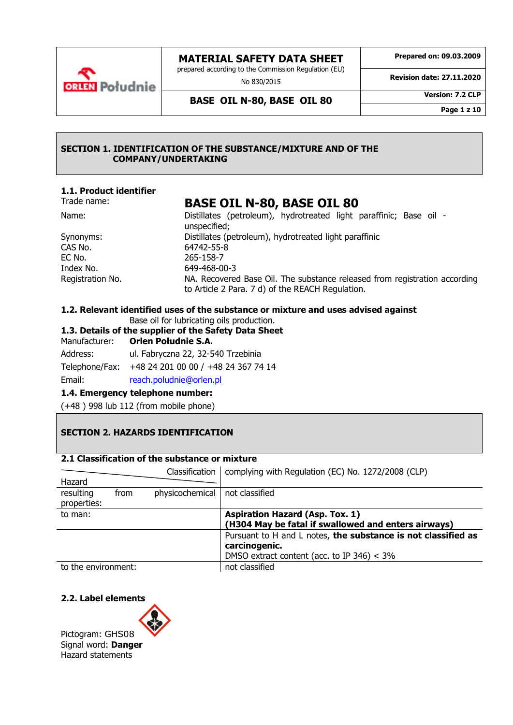

No 830/2015

**Prepared on: 09.03.2009**

**Revision date: 27.11.2020**

**BASE OIL N-80, BASE OIL 80 Version: 7.2 CLP**

**Page 1 z 10**

## **SECTION 1. IDENTIFICATION OF THE SUBSTANCE/MIXTURE AND OF THE COMPANY/UNDERTAKING**

# **1.1. Product identifier**

**ORLEN** Poludnie

# Trade name: **BASE OIL N-80, BASE OIL 80**

| Name:            | Distillates (petroleum), hydrotreated light paraffinic; Base oil -                                                             |
|------------------|--------------------------------------------------------------------------------------------------------------------------------|
|                  | unspecified;                                                                                                                   |
| Synonyms:        | Distillates (petroleum), hydrotreated light paraffinic                                                                         |
| CAS No.          | 64742-55-8                                                                                                                     |
| EC No.           | 265-158-7                                                                                                                      |
| Index No.        | 649-468-00-3                                                                                                                   |
| Registration No. | NA. Recovered Base Oil. The substance released from registration according<br>to Article 2 Para. 7 d) of the REACH Regulation. |

# **1.2. Relevant identified uses of the substance or mixture and uses advised against**

Base oil for lubricating oils production.

# **1.3. Details of the supplier of the Safety Data Sheet**

Manufacturer: **Orlen Południe S.A.**

Address: ul. Fabryczna 22, 32-540 Trzebinia Telephone/Fax: +48 24 201 00 00 / +48 24 367 74 14

# Email: [reach.poludnie@orlen.pl](mailto:reach.poludnie@orlen.pl)

# **1.4. Emergency telephone number:**

(+48 ) 998 lub 112 (from mobile phone)

# **SECTION 2. HAZARDS IDENTIFICATION**

# **2.1 Classification of the substance or mixture**

|                     |      | Classification  | complying with Regulation (EC) No. 1272/2008 (CLP)            |
|---------------------|------|-----------------|---------------------------------------------------------------|
| Hazard              |      |                 |                                                               |
| resulting           | from | physicochemical | not classified                                                |
| properties:         |      |                 |                                                               |
| to man:             |      |                 | <b>Aspiration Hazard (Asp. Tox. 1)</b>                        |
|                     |      |                 | (H304 May be fatal if swallowed and enters airways)           |
|                     |      |                 | Pursuant to H and L notes, the substance is not classified as |
|                     |      |                 | carcinogenic.                                                 |
|                     |      |                 | DMSO extract content (acc. to IP 346) $<$ 3%                  |
| to the environment: |      |                 | not classified                                                |

# **2.2. Label elements**

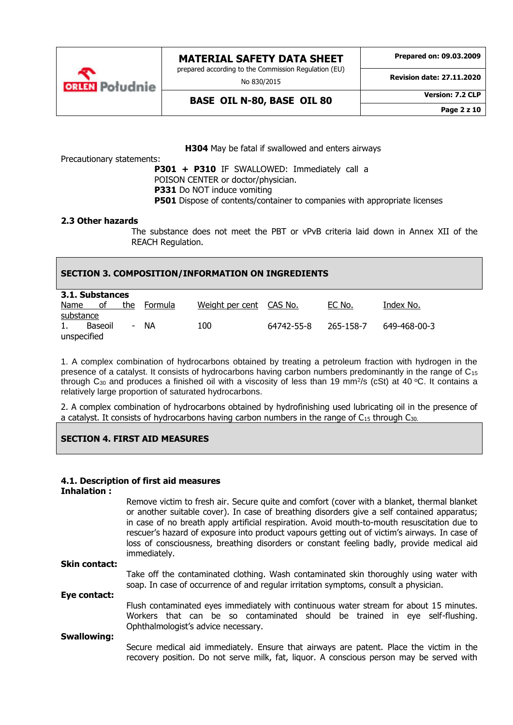

prepared according to the Commission Regulation (EU)

No 830/2015

**Prepared on: 09.03.2009**

**Revision date: 27.11.2020**

**BASE OIL N-80, BASE OIL 80 Version: 7.2 CLP**

**Page 2 z 10**

**H304** May be fatal if swallowed and enters airways

Precautionary statements:

**P301 + P310** IF SWALLOWED: Immediately call a POISON CENTER or doctor/physician. **P331** Do NOT induce vomiting **P501** Dispose of contents/container to companies with appropriate licenses

#### **2.3 Other hazards**

The substance does not meet the PBT or vPvB criteria laid down in Annex XII of the REACH Regulation.

## **SECTION 3. COMPOSITION/INFORMATION ON INGREDIENTS**

| 3.1. Substances |         |     |         |                         |            |           |              |
|-----------------|---------|-----|---------|-------------------------|------------|-----------|--------------|
| Name            | оf      | the | Formula | Weight per cent CAS No. |            | EC No.    | Index No.    |
| substance       |         |     |         |                         |            |           |              |
| 1.              | Baseoil | ۰   | ΝA      | 100                     | 64742-55-8 | 265-158-7 | 649-468-00-3 |
| unspecified     |         |     |         |                         |            |           |              |

1. A complex combination of hydrocarbons obtained by treating a petroleum fraction with hydrogen in the presence of a catalyst. It consists of hydrocarbons having carbon numbers predominantly in the range of C<sub>15</sub> through C<sub>30</sub> and produces a finished oil with a viscosity of less than 19 mm<sup>2</sup>/s (cSt) at 40 °C. It contains a relatively large proportion of saturated hydrocarbons.

2. A complex combination of hydrocarbons obtained by hydrofinishing used lubricating oil in the presence of a catalyst. It consists of hydrocarbons having carbon numbers in the range of C15 through C30.

# **SECTION 4. FIRST AID MEASURES**

#### **4.1. Description of first aid measures**

#### **Inhalation :**

|                      | Remove victim to fresh air. Secure quite and comfort (cover with a blanket, thermal blanket<br>or another suitable cover). In case of breathing disorders give a self contained apparatus;<br>in case of no breath apply artificial respiration. Avoid mouth-to-mouth resuscitation due to<br>rescuer's hazard of exposure into product vapours getting out of victim's airways. In case of<br>loss of consciousness, breathing disorders or constant feeling badly, provide medical aid<br>immediately. |
|----------------------|----------------------------------------------------------------------------------------------------------------------------------------------------------------------------------------------------------------------------------------------------------------------------------------------------------------------------------------------------------------------------------------------------------------------------------------------------------------------------------------------------------|
| <b>Skin contact:</b> |                                                                                                                                                                                                                                                                                                                                                                                                                                                                                                          |
|                      | Take off the contaminated clothing. Wash contaminated skin thoroughly using water with<br>soap. In case of occurrence of and regular irritation symptoms, consult a physician.                                                                                                                                                                                                                                                                                                                           |
| Eye contact:         |                                                                                                                                                                                                                                                                                                                                                                                                                                                                                                          |
|                      | Flush contaminated eyes immediately with continuous water stream for about 15 minutes.<br>Workers that can be so contaminated should be trained in eye self-flushing.<br>Ophthalmologist's advice necessary.                                                                                                                                                                                                                                                                                             |
| <b>Swallowing:</b>   |                                                                                                                                                                                                                                                                                                                                                                                                                                                                                                          |
|                      | Secure medical aid immediately. Ensure that airways are patent. Place the victim in the<br>recovery position. Do not serve milk, fat, liguor. A conscious person may be served with                                                                                                                                                                                                                                                                                                                      |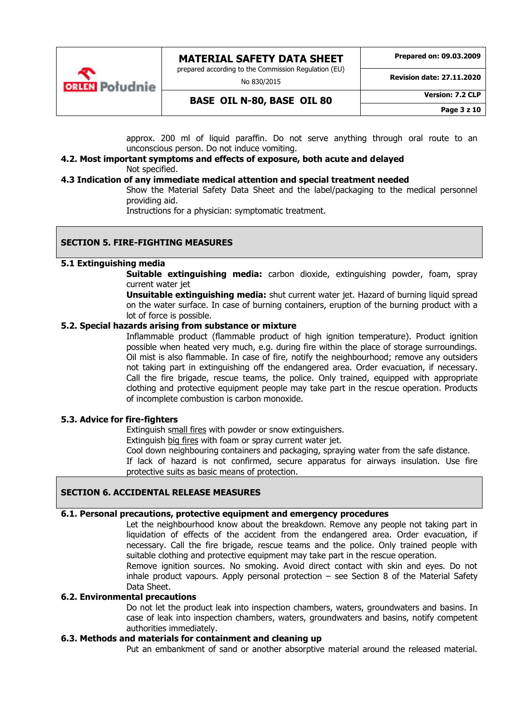

prepared according to the Commission Regulation (EU)

No 830/2015

**Revision date: 27.11.2020**

**BASE OIL N-80, BASE OIL 80 Version: 7.2 CLP**

**Page 3 z 10**

approx. 200 ml of liquid paraffin. Do not serve anything through oral route to an unconscious person. Do not induce vomiting.

#### **4.2. Most important symptoms and effects of exposure, both acute and delayed** Not specified.

#### **4.3 Indication of any immediate medical attention and special treatment needed**

Show the Material Safety Data Sheet and the label/packaging to the medical personnel providing aid.

Instructions for a physician: symptomatic treatment.

# **SECTION 5. FIRE-FIGHTING MEASURES**

#### **5.1 Extinguishing media**

**Suitable extinguishing media:** carbon dioxide, extinguishing powder, foam, spray current water jet

**Unsuitable extinguishing media:** shut current water jet. Hazard of burning liquid spread on the water surface. In case of burning containers, eruption of the burning product with a lot of force is possible.

# **5.2. Special hazards arising from substance or mixture**

Inflammable product (flammable product of high ignition temperature). Product ignition possible when heated very much, e.g. during fire within the place of storage surroundings. Oil mist is also flammable. In case of fire, notify the neighbourhood; remove any outsiders not taking part in extinguishing off the endangered area. Order evacuation, if necessary. Call the fire brigade, rescue teams, the police. Only trained, equipped with appropriate clothing and protective equipment people may take part in the rescue operation. Products of incomplete combustion is carbon monoxide.

#### **5.3. Advice for fire-fighters**

Extinguish small fires with powder or snow extinguishers.

Extinguish big fires with foam or spray current water jet.

Cool down neighbouring containers and packaging, spraying water from the safe distance.

If lack of hazard is not confirmed, secure apparatus for airways insulation. Use fire protective suits as basic means of protection.

# **SECTION 6. ACCIDENTAL RELEASE MEASURES**

# **6.1. Personal precautions, protective equipment and emergency procedures**

Let the neighbourhood know about the breakdown. Remove any people not taking part in liquidation of effects of the accident from the endangered area. Order evacuation, if necessary. Call the fire brigade, rescue teams and the police. Only trained people with suitable clothing and protective equipment may take part in the rescue operation. Remove ignition sources. No smoking. Avoid direct contact with skin and eyes. Do not

inhale product vapours. Apply personal protection  $-$  see Section 8 of the Material Safety Data Sheet.

## **6.2. Environmental precautions**

Do not let the product leak into inspection chambers, waters, groundwaters and basins. In case of leak into inspection chambers, waters, groundwaters and basins, notify competent authorities immediately.

## **6.3. Methods and materials for containment and cleaning up**

Put an embankment of sand or another absorptive material around the released material.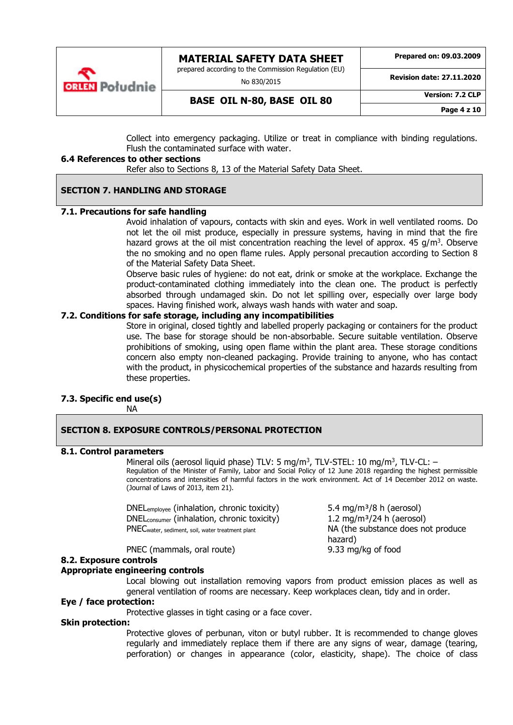

No 830/2015

**Prepared on: 09.03.2009**

**Revision date: 27.11.2020**

**BASE OIL N-80, BASE OIL 80 Version: 7.2 CLP**

**Page 4 z 10**

Collect into emergency packaging. Utilize or treat in compliance with binding regulations. Flush the contaminated surface with water.

#### **6.4 References to other sections**

**ORIEN** Południe

Refer also to Sections 8, 13 of the Material Safety Data Sheet.

## **SECTION 7. HANDLING AND STORAGE**

## **7.1. Precautions for safe handling**

Avoid inhalation of vapours, contacts with skin and eyes. Work in well ventilated rooms. Do not let the oil mist produce, especially in pressure systems, having in mind that the fire hazard grows at the oil mist concentration reaching the level of approx.  $45$  g/m<sup>3</sup>. Observe the no smoking and no open flame rules. Apply personal precaution according to Section 8 of the Material Safety Data Sheet.

Observe basic rules of hygiene: do not eat, drink or smoke at the workplace. Exchange the product-contaminated clothing immediately into the clean one. The product is perfectly absorbed through undamaged skin. Do not let spilling over, especially over large body spaces. Having finished work, always wash hands with water and soap.

## **7.2. Conditions for safe storage, including any incompatibilities**

Store in original, closed tightly and labelled properly packaging or containers for the product use. The base for storage should be non-absorbable. Secure suitable ventilation. Observe prohibitions of smoking, using open flame within the plant area. These storage conditions concern also empty non-cleaned packaging. Provide training to anyone, who has contact with the product, in physicochemical properties of the substance and hazards resulting from these properties.

#### **7.3. Specific end use(s)**

NA

#### **SECTION 8. EXPOSURE CONTROLS/PERSONAL PROTECTION**

#### **8.1. Control parameters**

Mineral oils (aerosol liquid phase) TLV: 5 mg/m<sup>3</sup>, TLV-STEL: 10 mg/m<sup>3</sup>, TLV-CL: -Regulation of the Minister of Family, Labor and Social Policy of 12 June 2018 regarding the highest permissible concentrations and intensities of harmful factors in the work environment. Act of 14 December 2012 on waste. (Journal of Laws of 2013, item 21).

DNEL<sub>employee</sub> (inhalation, chronic toxicity)  $5.4 \text{ mg/m}^3/8 \text{ h}$  (aerosol) DNEL<sub>consumer</sub> (inhalation, chronic toxicity) 1.2 mg/m<sup>3</sup>/24 h (aerosol) PNECwater, sediment, soil, water treatment plant NA (the substance does not produce

PNEC (mammals, oral route) 9.33 mg/kg of food

#### **8.2. Exposure controls**

#### **Appropriate engineering controls**

Local blowing out installation removing vapors from product emission places as well as general ventilation of rooms are necessary. Keep workplaces clean, tidy and in order.

hazard)

# **Eye / face protection:**

Protective glasses in tight casing or a face cover.

# **Skin protection:**

Protective gloves of perbunan, viton or butyl rubber. It is recommended to change gloves regularly and immediately replace them if there are any signs of wear, damage (tearing, perforation) or changes in appearance (color, elasticity, shape). The choice of class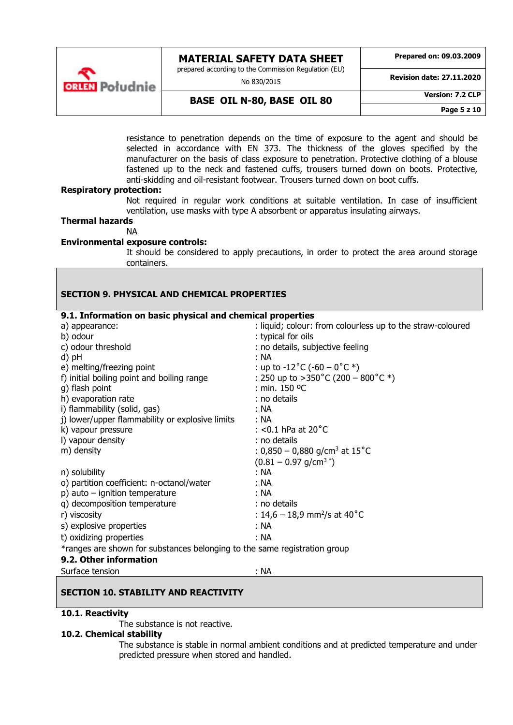

prepared according to the Commission Regulation (EU)

No 830/2015

**Prepared on: 09.03.2009**

**Revision date: 27.11.2020**

**BASE OIL N-80, BASE OIL 80 Version: 7.2 CLP**

**Page 5 z 10**

resistance to penetration depends on the time of exposure to the agent and should be selected in accordance with EN 373. The thickness of the gloves specified by the manufacturer on the basis of class exposure to penetration. Protective clothing of a blouse fastened up to the neck and fastened cuffs, trousers turned down on boots. Protective, anti-skidding and oil-resistant footwear. Trousers turned down on boot cuffs.

#### **Respiratory protection:**

Not required in regular work conditions at suitable ventilation. In case of insufficient ventilation, use masks with type A absorbent or apparatus insulating airways.

**Thermal hazards**

#### NA

#### **Environmental exposure controls:**

It should be considered to apply precautions, in order to protect the area around storage containers.

## **SECTION 9. PHYSICAL AND CHEMICAL PROPERTIES 9.1. Information on basic physical and chemical properties** a) appearance:  $\blacksquare$  : liquid; colour: from colourless up to the straw-coloured b) odour : typical for oils c) odour threshold : no details, subjective feeling d) pH : NA e) melting/freezing point <br>f) initial boiling point and boiling range  $\therefore$  250 up to >350°C (200 – 800°C \*) f) initial boiling point and boiling range g) flash point : min. 150 ºC h) evaporation rate : no details i) flammability (solid, gas) : NA j) lower/upper flammability or explosive limits : NA k) vapour pressure  $\sim$  : <0.1 hPa at 20 $^{\circ}$ C l) vapour density : no details m) density  $\therefore 0.850 - 0.880$  g/cm<sup>3</sup> at  $15^{\circ}$ C  $(0.81 - 0.97 \text{ q/cm}^3)^{4}$ n) solubility : NA o) partition coefficient: n-octanol/water : NA p) auto – ignition temperature : NA q) decomposition temperature r) viscosity  $: 14,6-18,9$  mm $^{2}/s$  at  $40^{\circ}$ C s) explosive properties : NA t) oxidizing properties : NA \*ranges are shown for substances belonging to the same registration group **9.2. Other information**

#### **SECTION 10. STABILITY AND REACTIVITY**

#### **10.1. Reactivity**

The substance is not reactive.

Surface tension : NA

#### **10.2. Chemical stability**

The substance is stable in normal ambient conditions and at predicted temperature and under predicted pressure when stored and handled.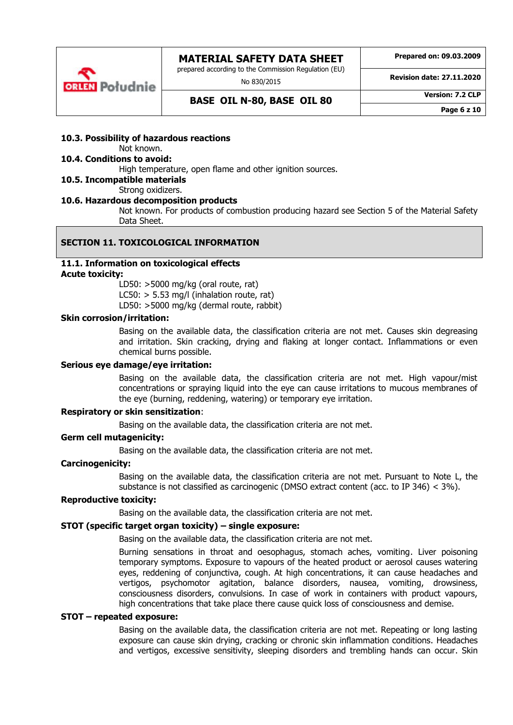

No 830/2015

**Prepared on: 09.03.2009**

**Revision date: 27.11.2020**

# **BASE OIL N-80, BASE OIL 80 Version: 7.2 CLP**

**Page 6 z 10**

## **10.3. Possibility of hazardous reactions**

# Not known.

# **10.4. Conditions to avoid:**

High temperature, open flame and other ignition sources.

# **10.5. Incompatible materials**

#### Strong oxidizers.

#### **10.6. Hazardous decomposition products**

Not known. For products of combustion producing hazard see Section 5 of the Material Safety Data Sheet.

# **SECTION 11. TOXICOLOGICAL INFORMATION**

#### **11.1. Information on toxicological effects Acute toxicity:**

LD50: >5000 mg/kg (oral route, rat) LC50:  $>$  5.53 mg/l (inhalation route, rat)

LD50: >5000 mg/kg (dermal route, rabbit)

#### **Skin corrosion/irritation:**

Basing on the available data, the classification criteria are not met. Causes skin degreasing and irritation. Skin cracking, drying and flaking at longer contact. Inflammations or even chemical burns possible.

#### **Serious eye damage/eye irritation:**

Basing on the available data, the classification criteria are not met. High vapour/mist concentrations or spraying liquid into the eye can cause irritations to mucous membranes of the eye (burning, reddening, watering) or temporary eye irritation.

#### **Respiratory or skin sensitization**:

Basing on the available data, the classification criteria are not met.

#### **Germ cell mutagenicity:**

Basing on the available data, the classification criteria are not met.

#### **Carcinogenicity:**

Basing on the available data, the classification criteria are not met. Pursuant to Note L, the substance is not classified as carcinogenic (DMSO extract content (acc. to IP 346)  $<$  3%).

#### **Reproductive toxicity:**

Basing on the available data, the classification criteria are not met.

#### **STOT (specific target organ toxicity) – single exposure:**

Basing on the available data, the classification criteria are not met.

Burning sensations in throat and oesophagus, stomach aches, vomiting. Liver poisoning temporary symptoms. Exposure to vapours of the heated product or aerosol causes watering eyes, reddening of conjunctiva, cough. At high concentrations, it can cause headaches and vertigos, psychomotor agitation, balance disorders, nausea, vomiting, drowsiness, consciousness disorders, convulsions. In case of work in containers with product vapours, high concentrations that take place there cause quick loss of consciousness and demise.

#### **STOT – repeated exposure:**

Basing on the available data, the classification criteria are not met. Repeating or long lasting exposure can cause skin drying, cracking or chronic skin inflammation conditions. Headaches and vertigos, excessive sensitivity, sleeping disorders and trembling hands can occur. Skin

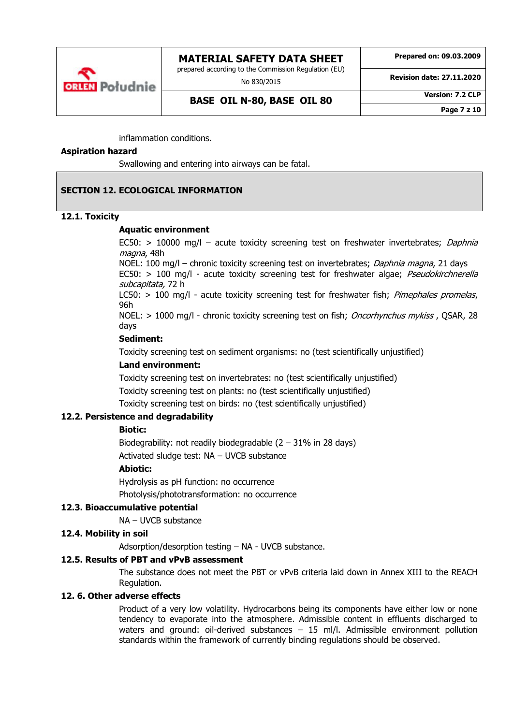

prepared according to the Commission Regulation (EU)

No 830/2015

**Prepared on: 09.03.2009**

**Revision date: 27.11.2020**

**BASE OIL N-80, BASE OIL 80 Version: 7.2 CLP**

**Page 7 z 10**

inflammation conditions.

#### **Aspiration hazard**

Swallowing and entering into airways can be fatal.

## **SECTION 12. ECOLOGICAL INFORMATION**

#### **12.1. Toxicity**

#### **Aquatic environment**

EC50: > 10000 mg/l - acute toxicity screening test on freshwater invertebrates; Daphnia magna, 48h

NOEL: 100 mg/l – chronic toxicity screening test on invertebrates; Daphnia magna, 21 days EC50:  $>$  100 mg/l - acute toxicity screening test for freshwater algae; *Pseudokirchnerella* subcapitata, 72 h

LC50:  $> 100$  mg/l - acute toxicity screening test for freshwater fish; *Pimephales promelas*, 96h

NOEL: > 1000 mg/l - chronic toxicity screening test on fish; *Oncorhynchus mykiss*, QSAR, 28 days

## **Sediment:**

Toxicity screening test on sediment organisms: no (test scientifically unjustified)

#### **Land environment:**

Toxicity screening test on invertebrates: no (test scientifically unjustified) Toxicity screening test on plants: no (test scientifically unjustified) Toxicity screening test on birds: no (test scientifically unjustified)

#### **12.2. Persistence and degradability**

## **Biotic:**

Biodegrability: not readily biodegradable  $(2 - 31\%$  in 28 days) Activated sludge test: NA – UVCB substance

#### **Abiotic:**

Hydrolysis as pH function: no occurrence Photolysis/phototransformation: no occurrence

#### **12.3. Bioaccumulative potential**

NA – UVCB substance

# **12.4. Mobility in soil**

Adsorption/desorption testing – NA - UVCB substance.

#### **12.5. Results of PBT and vPvB assessment**

The substance does not meet the PBT or vPvB criteria laid down in Annex XIII to the REACH Regulation.

#### **12. 6. Other adverse effects**

Product of a very low volatility. Hydrocarbons being its components have either low or none tendency to evaporate into the atmosphere. Admissible content in effluents discharged to waters and ground: oil-derived substances – 15 ml/l. Admissible environment pollution standards within the framework of currently binding regulations should be observed.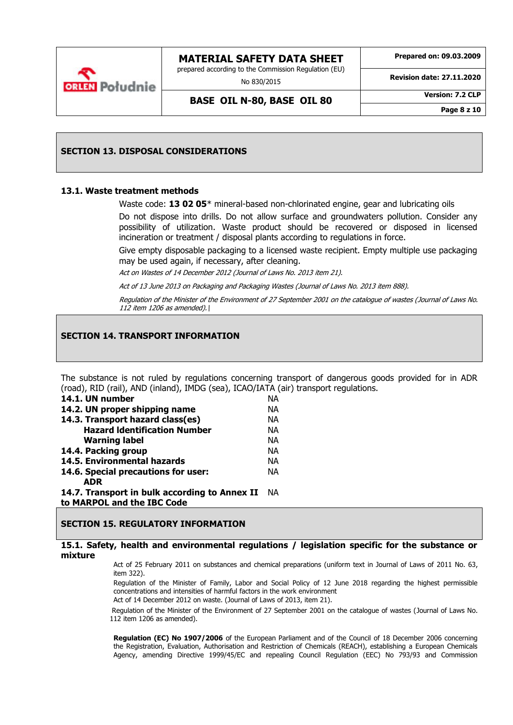

No 830/2015

**Prepared on: 09.03.2009**

**Revision date: 27.11.2020**

**BASE OIL N-80, BASE OIL 80 Version: 7.2 CLP**

**Page 8 z 10**

#### **SECTION 13. DISPOSAL CONSIDERATIONS**

#### **13.1. Waste treatment methods**

**ORIEN** Południe

Waste code: **13 02 05**\* mineral-based non-chlorinated engine, gear and lubricating oils

Do not dispose into drills. Do not allow surface and groundwaters pollution. Consider any possibility of utilization. Waste product should be recovered or disposed in licensed incineration or treatment / disposal plants according to regulations in force.

Give empty disposable packaging to a licensed waste recipient. Empty multiple use packaging may be used again, if necessary, after cleaning.

Act on Wastes of 14 December 2012 (Journal of Laws No. 2013 item 21).

Act of 13 June 2013 on Packaging and Packaging Wastes (Journal of Laws No. 2013 item 888).

Regulation of the Minister of the Environment of 27 September 2001 on the catalogue of wastes (Journal of Laws No. 112 item 1206 as amended).

## **SECTION 14. TRANSPORT INFORMATION**

The substance is not ruled by regulations concerning transport of dangerous goods provided for in ADR (road), RID (rail), AND (inland), IMDG (sea), ICAO/IATA (air) transport regulations.

| 14.1. UN number                               | <b>NA</b> |
|-----------------------------------------------|-----------|
| 14.2. UN proper shipping name                 | NА        |
| 14.3. Transport hazard class(es)              | NА        |
| <b>Hazard Identification Number</b>           | NА        |
| <b>Warning label</b>                          | NА        |
| 14.4. Packing group                           | NА        |
| 14.5. Environmental hazards                   | NА        |
| 14.6. Special precautions for user:           | NА        |
| <b>ADR</b>                                    |           |
| 14.7. Transport in bulk according to Annex II | - NA      |
| to MARPOL and the IBC Code                    |           |

#### **SECTION 15. REGULATORY INFORMATION**

#### **15.1. Safety, health and environmental regulations / legislation specific for the substance or mixture**

Act of 25 February 2011 on substances and chemical preparations (uniform text in Journal of Laws of 2011 No. 63, item 322).

Regulation of the Minister of Family, Labor and Social Policy of 12 June 2018 regarding the highest permissible concentrations and intensities of harmful factors in the work environment Act of 14 December 2012 on waste. (Journal of Laws of 2013, item 21).

Regulation of the Minister of the Environment of 27 September 2001 on the catalogue of wastes (Journal of Laws No. 112 item 1206 as amended).

**Regulation (EC) No 1907/2006** of the European Parliament and of the Council of 18 December 2006 concerning the Registration, Evaluation, Authorisation and Restriction of Chemicals (REACH), establishing a European Chemicals Agency, amending Directive 1999/45/EC and repealing Council Regulation (EEC) No 793/93 and Commission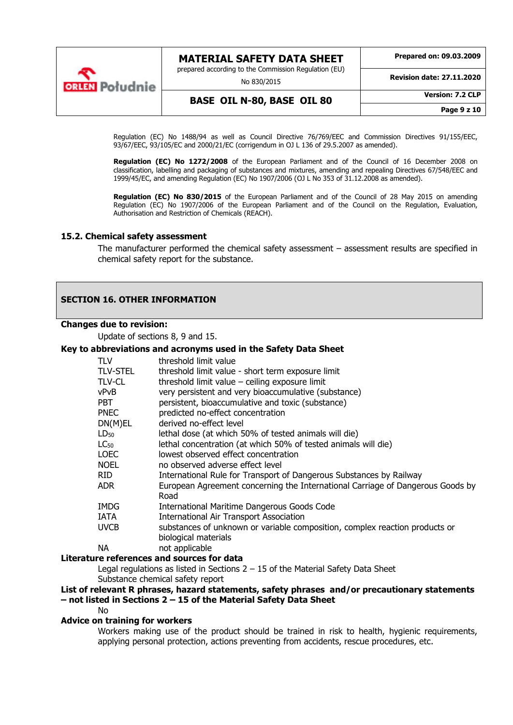

**MATERIAL SAFETY DATA SHEET** prepared according to the Commission Regulation (EU) No 830/2015 **Prepared on: 09.03.2009 Revision date: 27.11.2020 BASE OIL N-80, BASE OIL 80 Version: 7.2 CLP**

Regulation (EC) No 1488/94 as well as Council Directive 76/769/EEC and Commission Directives 91/155/EEC, 93/67/EEC, 93/105/EC and 2000/21/EC (corrigendum in OJ L 136 of 29.5.2007 as amended).

Requlation (EC) No 1272/2008 of the European Parliament and of the Council of 16 December 2008 on classification, labelling and packaging of substances and mixtures, amending and repealing Directives 67/548/EEC and 1999/45/EC, and amending Regulation (EC) No 1907/2006 (OJ L No 353 of 31.12.2008 as amended).

**Regulation (EC) No 830/2015** of the European Parliament and of the Council of 28 May 2015 on amending Regulation (EC) No 1907/2006 of the European Parliament and of the Council on the Regulation, Evaluation, Authorisation and Restriction of Chemicals (REACH).

#### **15.2. Chemical safety assessment**

The manufacturer performed the chemical safety assessment – assessment results are specified in chemical safety report for the substance.

#### **SECTION 16. OTHER INFORMATION**

#### **Changes due to revision:**

Update of sections 8, 9 and 15.

#### **Key to abbreviations and acronyms used in the Safety Data Sheet**

| TLV         | threshold limit value                                                                               |
|-------------|-----------------------------------------------------------------------------------------------------|
| TLV-STEL    | threshold limit value - short term exposure limit                                                   |
| TLV-CL      | threshold limit value $-$ ceiling exposure limit                                                    |
| vPvB        | very persistent and very bioaccumulative (substance)                                                |
| PBT.        | persistent, bioaccumulative and toxic (substance)                                                   |
| PNEC        | predicted no-effect concentration                                                                   |
| DN(M)EL     | derived no-effect level                                                                             |
| $LD_{50}$   | lethal dose (at which 50% of tested animals will die)                                               |
| $LC_{50}$   | lethal concentration (at which 50% of tested animals will die)                                      |
| LOEC        | lowest observed effect concentration                                                                |
| <b>NOEL</b> | no observed adverse effect level                                                                    |
| RID         | International Rule for Transport of Dangerous Substances by Railway                                 |
| ADR         | European Agreement concerning the International Carriage of Dangerous Goods by<br>Road              |
| IMDG        | International Maritime Dangerous Goods Code                                                         |
| IATA        | <b>International Air Transport Association</b>                                                      |
| uvcb        | substances of unknown or variable composition, complex reaction products or<br>biological materials |
| <b>NA</b>   | not applicable                                                                                      |

#### **Literature references and sources for data**

Legal regulations as listed in Sections  $2 - 15$  of the Material Safety Data Sheet

Substance chemical safety report

#### **List of relevant R phrases, hazard statements, safety phrases and/or precautionary statements – not listed in Sections 2 – 15 of the Material Safety Data Sheet**

No

#### **Advice on training for workers**

Workers making use of the product should be trained in risk to health, hygienic requirements, applying personal protection, actions preventing from accidents, rescue procedures, etc.